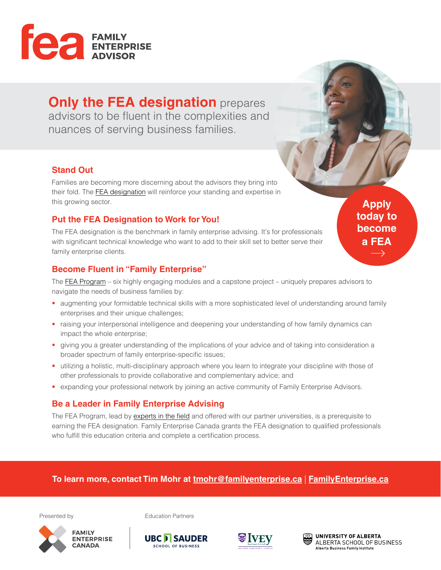

# **Only the FEA designation** prepares

advisors to be fluent in the complexities and nuances of serving business families.

#### **Stand Out**

Families are becoming more discerning about the advisors they bring into their fold. The [FEA designation](https://familyenterprise.ca/fea-designation/) will reinforce your standing and expertise in this growing sector.

## **Put the FEA Designation to Work for You!**

The FEA designation is the benchmark in family enterprise advising. It's for professionals with significant technical knowledge who want to add to their skill set to better serve their family enterprise clients.

### **Become Fluent in "Family Enterprise"**

The [FEA Program](https://familyenterprise.ca/fea-program-modules/) – six highly engaging modules and a capstone project – uniquely prepares advisors to navigate the needs of business families by:

- augmenting your formidable technical skills with a more sophisticated level of understanding around family enterprises and their unique challenges;
- raising your interpersonal intelligence and deepening your understanding of how family dynamics can impact the whole enterprise;
- giving you a greater understanding of the implications of your advice and of taking into consideration a broader spectrum of family enterprise-specific issues;
- utilizing a holistic, multi-disciplinary approach where you learn to integrate your discipline with those of other professionals to provide collaborative and complementary advice; and
- expanding your professional network by joining an active community of Family Enterprise Advisors.

### **Be a Leader in Family Enterprise Advising**

The FEA Program, lead by [experts in the field](https://familyenterprise.ca/fea-program-faculty/) and offered with our partner universities, is a prerequisite to earning the FEA designation. Family Enterprise Canada grants the FEA designation to qualified professionals who fulfill this education criteria and complete a certification process.

### **To learn more, contact Tim Mohr at [tmohr@familyenterprise.ca](mailto:tmohr%40familyenterprise.ca?subject=FEA%20Designation)** | **[FamilyEnterprise.ca](https://familyenterprise.ca)**



Presented by **Education Partners** 







**Apply today to become a FEA** $\longrightarrow$